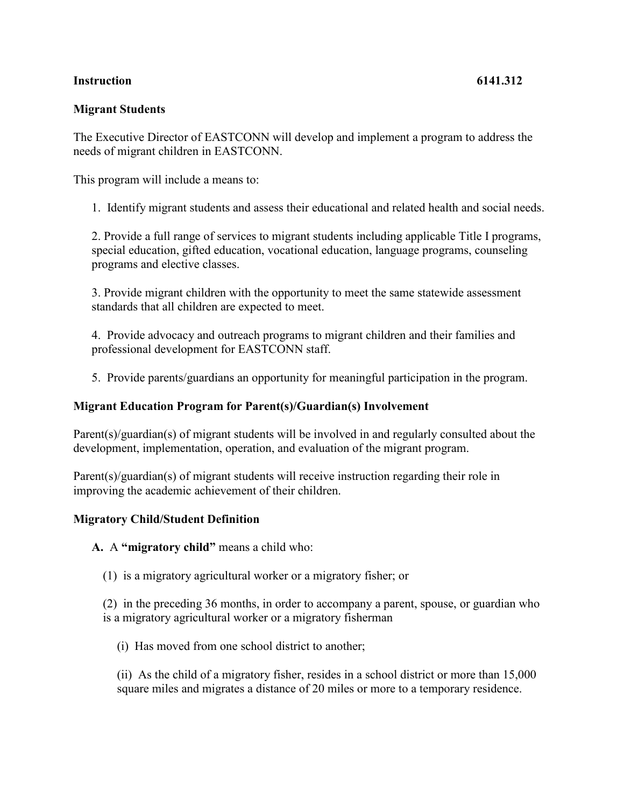## **Instruction 6141.312**

## **Migrant Students**

The Executive Director of EASTCONN will develop and implement a program to address the needs of migrant children in EASTCONN.

This program will include a means to:

1. Identify migrant students and assess their educational and related health and social needs.

2. Provide a full range of services to migrant students including applicable Title I programs, special education, gifted education, vocational education, language programs, counseling programs and elective classes.

3. Provide migrant children with the opportunity to meet the same statewide assessment standards that all children are expected to meet.

4. Provide advocacy and outreach programs to migrant children and their families and professional development for EASTCONN staff.

5. Provide parents/guardians an opportunity for meaningful participation in the program.

## **Migrant Education Program for Parent(s)/Guardian(s) Involvement**

Parent(s)/guardian(s) of migrant students will be involved in and regularly consulted about the development, implementation, operation, and evaluation of the migrant program.

Parent(s)/guardian(s) of migrant students will receive instruction regarding their role in improving the academic achievement of their children.

## **Migratory Child/Student Definition**

**A.** A **"migratory child"** means a child who:

(1) is a migratory agricultural worker or a migratory fisher; or

(2) in the preceding 36 months, in order to accompany a parent, spouse, or guardian who is a migratory agricultural worker or a migratory fisherman

(i) Has moved from one school district to another;

(ii) As the child of a migratory fisher, resides in a school district or more than 15,000 square miles and migrates a distance of 20 miles or more to a temporary residence.